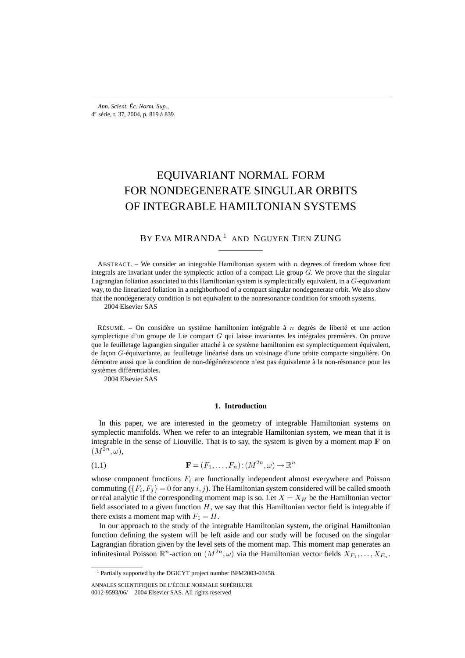# EQUIVARIANT NORMAL FORM FOR NONDEGENERATE SINGULAR ORBITS OF INTEGRABLE HAMILTONIAN SYSTEMS

# BY EVA MIRANDA<sup>1</sup> AND NGUYEN TIEN ZUNG

ABSTRACT. – We consider an integrable Hamiltonian system with  $n$  degrees of freedom whose first integrals are invariant under the symplectic action of a compact Lie group  $G$ . We prove that the singular Lagrangian foliation associated to this Hamiltonian system is symplectically equivalent, in a G-equivariant way, to the linearized foliation in a neighborhood of a compact singular nondegenerate orbit. We also show that the nondegeneracy condition is not equivalent to the nonresonance condition for smooth systems.

2004 Elsevier SAS

RÉSUMÉ. – On considère un système hamiltonien intégrable à  $n$  degrés de liberté et une action symplectique d'un groupe de Lie compact  $G$  qui laisse invariantes les intégrales premières. On prouve que le feuilletage lagrangien singulier attaché à ce système hamiltonien est symplectiquement équivalent, de façon G-équivariante, au feuilletage linéarisé dans un voisinage d'une orbite compacte singulière. On démontre aussi que la condition de non-dégénérescence n'est pas équivalente à la non-résonance pour les systèmes différentiables.

2004 Elsevier SAS

# **1. Introduction**

In this paper, we are interested in the geometry of integrable Hamiltonian systems on symplectic manifolds. When we refer to an integrable Hamiltonian system, we mean that it is integrable in the sense of Liouville. That is to say, the system is given by a moment map **F** on  $(M^{2n}, \omega)$ ,

(1.1) 
$$
\mathbf{F} = (F_1, \dots, F_n) : (M^{2n}, \omega) \to \mathbb{R}^n
$$

whose component functions  $F_i$  are functionally independent almost everywhere and Poisson commuting  $({F_i}, {F_j}) = 0$  for any i, j). The Hamiltonian system considered will be called smooth or real analytic if the corresponding moment map is so. Let  $X = X_H$  be the Hamiltonian vector field associated to a given function  $H$ , we say that this Hamiltonian vector field is integrable if there exists a moment map with  $F_1 = H$ .

In our approach to the study of the integrable Hamiltonian system, the original Hamiltonian function defining the system will be left aside and our study will be focused on the singular Lagrangian fibration given by the level sets of the moment map. This moment map generates an infinitesimal Poisson  $\mathbb{R}^n$ -action on  $(M^{2n}, \omega)$  via the Hamiltonian vector fields  $X_{F_1}, \ldots, X_{F_n}$ .

<sup>1</sup> Partially supported by the DGICYT project number BFM2003-03458.

ANNALES SCIENTIFIQUES DE L'ÉCOLE NORMALE SUPÉRIEURE 0012-9593/06/© 2004 Elsevier SAS. All rights reserved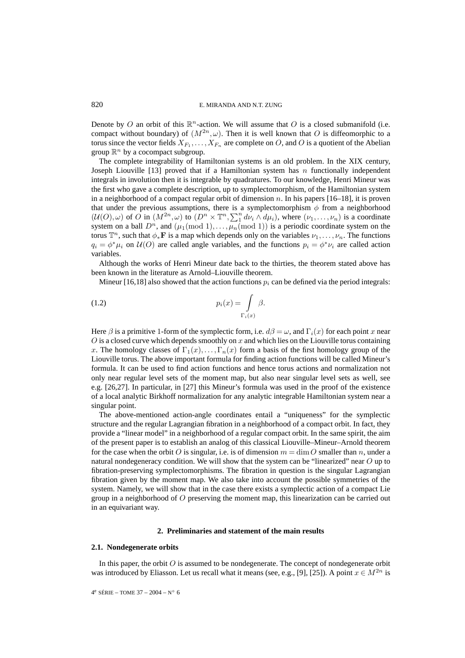Denote by O an orbit of this  $\mathbb{R}^n$ -action. We will assume that O is a closed submanifold (i.e. compact without boundary) of  $(M^{2n}, \omega)$ . Then it is well known that O is diffeomorphic to a torus since the vector fields  $X_{F_1}, \ldots, X_{F_n}$  are complete on O, and O is a quotient of the Abelian group  $\mathbb{R}^n$  by a cocompact subgroup.

The complete integrability of Hamiltonian systems is an old problem. In the XIX century, Joseph Liouville [13] proved that if a Hamiltonian system has  $n$  functionally independent integrals in involution then it is integrable by quadratures. To our knowledge, Henri Mineur was the first who gave a complete description, up to symplectomorphism, of the Hamiltonian system in a neighborhood of a compact regular orbit of dimension  $n$ . In his papers  $[16–18]$ , it is proven that under the previous assumptions, there is a symplectomorphism  $\phi$  from a neighborhood  $(U(0), \omega)$  of O in  $(M^{2n}, \omega)$  to  $(D^n \times \mathbb{T}^n, \sum_{i=1}^n d\nu_i \wedge d\mu_i)$ , where  $(\nu_1, \ldots, \nu_n)$  is a coordinate system on a ball  $D^n$ , and  $(\mu_1 \text{ (mod 1)}, \ldots, \mu_n \text{ (mod 1)})$  is a periodic coordinate system on the torus  $\mathbb{T}^n$ , such that  $\phi_*\mathbf{F}$  is a map which depends only on the variables  $\nu_1,\ldots,\nu_n$ . The functions  $q_i = \phi^* \mu_i$  on  $\mathcal{U}(O)$  are called angle variables, and the functions  $p_i = \phi^* \nu_i$  are called action variables.

Although the works of Henri Mineur date back to the thirties, the theorem stated above has been known in the literature as Arnold–Liouville theorem.

Mineur [16,18] also showed that the action functions  $p_i$  can be defined via the period integrals:

$$
p_i(x) = \int\limits_{\Gamma_i(x)} \beta.
$$

Here  $\beta$  is a primitive 1-form of the symplectic form, i.e.  $d\beta = \omega$ , and  $\Gamma_i(x)$  for each point x near  $O$  is a closed curve which depends smoothly on  $x$  and which lies on the Liouville torus containing x. The homology classes of  $\Gamma_1(x), \ldots, \Gamma_n(x)$  form a basis of the first homology group of the Liouville torus. The above important formula for finding action functions will be called Mineur's formula. It can be used to find action functions and hence torus actions and normalization not only near regular level sets of the moment map, but also near singular level sets as well, see e.g. [26,27]. In particular, in [27] this Mineur's formula was used in the proof of the existence of a local analytic Birkhoff normalization for any analytic integrable Hamiltonian system near a singular point.

The above-mentioned action-angle coordinates entail a "uniqueness" for the symplectic structure and the regular Lagrangian fibration in a neighborhood of a compact orbit. In fact, they provide a "linear model" in a neighborhood of a regular compact orbit. In the same spirit, the aim of the present paper is to establish an analog of this classical Liouville–Mineur–Arnold theorem for the case when the orbit O is singular, i.e. is of dimension  $m = \dim O$  smaller than n, under a natural nondegeneracy condition. We will show that the system can be "linearized" near  $O$  up to fibration-preserving symplectomorphisms. The fibration in question is the singular Lagrangian fibration given by the moment map. We also take into account the possible symmetries of the system. Namely, we will show that in the case there exists a symplectic action of a compact Lie group in a neighborhood of  $O$  preserving the moment map, this linearization can be carried out in an equivariant way.

# **2. Preliminaries and statement of the main results**

#### **2.1. Nondegenerate orbits**

In this paper, the orbit  $O$  is assumed to be nondegenerate. The concept of nondegenerate orbit was introduced by Eliasson. Let us recall what it means (see, e.g., [9], [25]). A point  $x \in M^{2n}$  is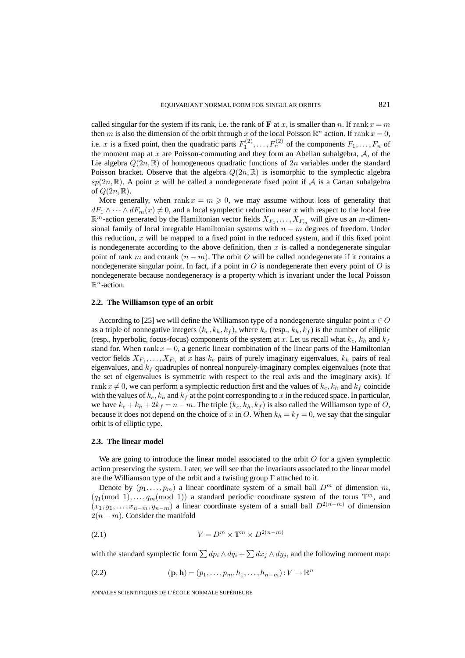called singular for the system if its rank, i.e. the rank of **F** at x, is smaller than n. If rank  $x = m$ then m is also the dimension of the orbit through x of the local Poisson  $\mathbb{R}^n$  action. If rank  $x = 0$ , i.e. x is a fixed point, then the quadratic parts  $F_1^{(2)}, \ldots, F_n^{(2)}$  of the components  $F_1, \ldots, F_n$  of the moment map at  $x$  are Poisson-commuting and they form an Abelian subalgebra,  $A$ , of the Lie algebra  $Q(2n,\mathbb{R})$  of homogeneous quadratic functions of  $2n$  variables under the standard Poisson bracket. Observe that the algebra  $Q(2n,\mathbb{R})$  is isomorphic to the symplectic algebra  $sp(2n,\mathbb{R})$ . A point x will be called a nondegenerate fixed point if A is a Cartan subalgebra of  $Q(2n,\mathbb{R})$ .

More generally, when rank  $x = m \ge 0$ , we may assume without loss of generality that  $dF_1 \wedge \cdots \wedge dF_m(x) \neq 0$ , and a local symplectic reduction near x with respect to the local free  $\mathbb{R}^m$ -action generated by the Hamiltonian vector fields  $X_{F_1}, \ldots, X_{F_m}$  will give us an m-dimensional family of local integrable Hamiltonian systems with  $n - m$  degrees of freedom. Under this reduction,  $x$  will be mapped to a fixed point in the reduced system, and if this fixed point is nondegenerate according to the above definition, then  $x$  is called a nondegenerate singular point of rank m and corank  $(n - m)$ . The orbit O will be called nondegenerate if it contains a nondegenerate singular point. In fact, if a point in  $O$  is nondegenerate then every point of  $O$  is nondegenerate because nondegeneracy is a property which is invariant under the local Poisson  $\mathbb{R}^n$ -action.

### **2.2. The Williamson type of an orbit**

According to [25] we will define the Williamson type of a nondegenerate singular point  $x \in O$ as a triple of nonnegative integers  $(k_e, k_h, k_f)$ , where  $k_e$  (resp.,  $k_h, k_f$ ) is the number of elliptic (resp., hyperbolic, focus-focus) components of the system at x. Let us recall what  $k_e$ ,  $k_h$  and  $k_f$ stand for. When  $\text{rank } x = 0$ , a generic linear combination of the linear parts of the Hamiltonian vector fields  $X_{F_1}, \ldots, X_{F_n}$  at x has  $k_e$  pairs of purely imaginary eigenvalues,  $k_h$  pairs of real eigenvalues, and  $k_f$  quadruples of nonreal nonpurely-imaginary complex eigenvalues (note that the set of eigenvalues is symmetric with respect to the real axis and the imaginary axis). If rank  $x \neq 0$ , we can perform a symplectic reduction first and the values of  $k_e, k_h$  and  $k_f$  coincide with the values of  $k_e$ ,  $k_h$  and  $k_f$  at the point corresponding to x in the reduced space. In particular, we have  $k_e + k_h + 2k_f = n - m$ . The triple  $(k_e, k_h, k_f)$  is also called the Williamson type of O, because it does not depend on the choice of x in O. When  $k_h = k_f = 0$ , we say that the singular orbit is of elliptic type.

### **2.3. The linear model**

We are going to introduce the linear model associated to the orbit  $O$  for a given symplectic action preserving the system. Later, we will see that the invariants associated to the linear model are the Williamson type of the orbit and a twisting group  $\Gamma$  attached to it.

Denote by  $(p_1,\ldots,p_m)$  a linear coordinate system of a small ball  $D^m$  of dimension m,  $(q_1 \text{ (mod } 1), \ldots, q_m \text{ (mod } 1))$  a standard periodic coordinate system of the torus  $\mathbb{T}^m$ , and  $(x_1, y_1, \ldots, x_{n-m}, y_{n-m})$  a linear coordinate system of a small ball  $D^{2(n-m)}$  of dimension  $2(n - m)$ . Consider the manifold

$$
(2.1) \t\t V = D^m \times \mathbb{T}^m \times D^{2(n-m)}
$$

with the standard symplectic form  $\sum dp_i \wedge dq_i + \sum dx_j \wedge dy_j$ , and the following moment map:

(2.2) 
$$
(\mathbf{p}, \mathbf{h}) = (p_1, \dots, p_m, h_1, \dots, h_{n-m}): V \to \mathbb{R}^n
$$

ANNALES SCIENTIFIQUES DE L'ÉCOLE NORMALE SUPÉRIEURE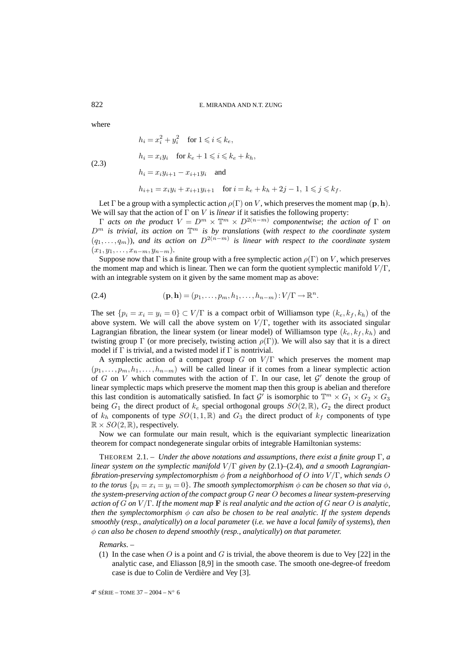where

(2.3)

$$
h_i = x_i^2 + y_i^2 \quad \text{for } 1 \leq i \leq k_e,
$$
  
\n
$$
h_i = x_i y_i \quad \text{for } k_e + 1 \leq i \leq k_e + k_h,
$$
  
\n
$$
h_i = x_i y_{i+1} - x_{i+1} y_i \quad \text{and}
$$
  
\n
$$
h_{i+1} = x_i y_i + x_{i+1} y_{i+1} \quad \text{for } i = k_e + k_h + 2j - 1, 1 \leq j \leq k_f.
$$

Let  $\Gamma$  be a group with a symplectic action  $\rho(\Gamma)$  on V, which preserves the moment map  $(\mathbf{p}, \mathbf{h})$ . We will say that the action of  $\Gamma$  on V is *linear* if it satisfies the following property:

 $Γ$  *acts on the product*  $V = D<sup>m</sup> × T<sup>m</sup> × D<sup>2(n-m)</sup>$  *componentwise*; *the action of* Γ *on*  $D<sup>m</sup>$  *is trivial, its action on*  $\mathbb{T}^m$  *is by translations (with respect to the coordinate system*  $(q_1,...,q_m)$ *), and its action on*  $D^{2(n-m)}$  *is linear with respect to the coordinate system*  $(x_1, y_1, \ldots, x_{n-m}, y_{n-m}).$ 

Suppose now that Γ is a finite group with a free symplectic action  $\rho(\Gamma)$  on V, which preserves the moment map and which is linear. Then we can form the quotient symplectic manifold  $V/\Gamma$ , with an integrable system on it given by the same moment map as above:

(2.4) 
$$
(\mathbf{p}, \mathbf{h}) = (p_1, \dots, p_m, h_1, \dots, h_{n-m}): V/\Gamma \to \mathbb{R}^n.
$$

The set  $\{p_i = x_i = y_i = 0\} \subset V/\Gamma$  is a compact orbit of Williamson type  $(k_e, k_f, k_h)$  of the above system. We will call the above system on  $V/\Gamma$ , together with its associated singular Lagrangian fibration, the linear system (or linear model) of Williamson type  $(k_e, k_f, k_h)$  and twisting group Γ (or more precisely, twisting action  $\rho(\Gamma)$ ). We will also say that it is a direct model if  $\Gamma$  is trivial, and a twisted model if  $\Gamma$  is nontrivial.

A symplectic action of a compact group  $G$  on  $V/\Gamma$  which preserves the moment map  $(p_1,\ldots,p_m, h_1,\ldots, h_{n-m})$  will be called linear if it comes from a linear symplectic action of G on V which commutes with the action of  $\Gamma$ . In our case, let  $\mathcal{G}'$  denote the group of linear symplectic maps which preserve the moment map then this group is abelian and therefore this last condition is automatically satisfied. In fact  $\mathcal{G}'$  is isomorphic to  $\mathbb{T}^m \times G_1 \times G_2 \times G_3$ being  $G_1$  the direct product of  $k_e$  special orthogonal groups  $SO(2,\mathbb{R})$ ,  $G_2$  the direct product of  $k_h$  components of type  $SO(1, 1, \mathbb{R})$  and  $G_3$  the direct product of  $k_f$  components of type  $\mathbb{R} \times SO(2, \mathbb{R})$ , respectively.

Now we can formulate our main result, which is the equivariant symplectic linearization theorem for compact nondegenerate singular orbits of integrable Hamiltonian systems:

THEOREM 2.1. – *Under the above notations and assumptions, there exist a finite group* Γ*, a linear system on the symplectic manifold V*/Γ *given by* (2.1)–(2.4)*, and a smooth Lagrangianfibration-preserving symplectomorphism* φ *from a neighborhood of* O *into* V /Γ*, which sends* O *to the torus*  $\{p_i = x_i = y_i = 0\}$ *. The smooth symplectomorphism*  $\phi$  *can be chosen so that via*  $\phi$ *, the system-preserving action of the compact group* G *near* O *becomes a linear system-preserving action of* G *on* V /Γ*. If the moment map* **F** *is real analytic and the action of* G *near* O *is analytic, then the symplectomorphism*  $\phi$  *can also be chosen to be real analytic. If the system depends smoothly* (*resp., analytically*) *on a local parameter* (*i.e. we have a local family of systems*)*, then* φ *can also be chosen to depend smoothly* (*resp., analytically*) *on that parameter.*

*Remarks*. –

(1) In the case when O is a point and G is trivial, the above theorem is due to Vey [22] in the analytic case, and Eliasson [8,9] in the smooth case. The smooth one-degree-of freedom case is due to Colin de Verdière and Vey [3].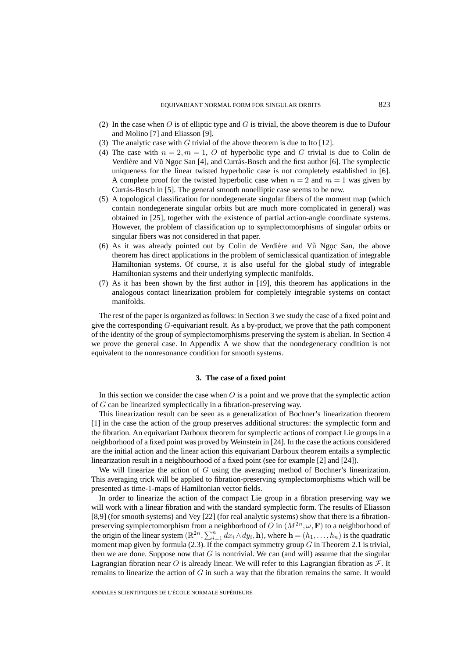- (2) In the case when  $\overline{O}$  is of elliptic type and  $\overline{G}$  is trivial, the above theorem is due to Dufour and Molino [7] and Eliasson [9].
- (3) The analytic case with  $G$  trivial of the above theorem is due to Ito [12].
- (4) The case with  $n = 2, m = 1, O$  of hyperbolic type and G trivial is due to Colin de Verdière and Vũ Ngoc San [4], and Currás-Bosch and the first author [6]. The symplectic uniqueness for the linear twisted hyperbolic case is not completely established in [6]. A complete proof for the twisted hyperbolic case when  $n = 2$  and  $m = 1$  was given by Currás-Bosch in [5]. The general smooth nonelliptic case seems to be new.
- (5) A topological classification for nondegenerate singular fibers of the moment map (which contain nondegenerate singular orbits but are much more complicated in general) was obtained in [25], together with the existence of partial action-angle coordinate systems. However, the problem of classification up to symplectomorphisms of singular orbits or singular fibers was not considered in that paper.
- $(6)$  As it was already pointed out by Colin de Verdière and V $\tilde{u}$  Ngoc San, the above theorem has direct applications in the problem of semiclassical quantization of integrable Hamiltonian systems. Of course, it is also useful for the global study of integrable Hamiltonian systems and their underlying symplectic manifolds.
- (7) As it has been shown by the first author in [19], this theorem has applications in the analogous contact linearization problem for completely integrable systems on contact manifolds.

The rest of the paper is organized as follows: in Section 3 we study the case of a fixed point and give the corresponding  $G$ -equivariant result. As a by-product, we prove that the path component of the identity of the group of symplectomorphisms preserving the system is abelian. In Section 4 we prove the general case. In Appendix A we show that the nondegeneracy condition is not equivalent to the nonresonance condition for smooth systems.

#### **3. The case of a fixed point**

In this section we consider the case when  $O$  is a point and we prove that the symplectic action of G can be linearized symplectically in a fibration-preserving way.

This linearization result can be seen as a generalization of Bochner's linearization theorem [1] in the case the action of the group preserves additional structures: the symplectic form and the fibration. An equivariant Darboux theorem for symplectic actions of compact Lie groups in a neighborhood of a fixed point was proved by Weinstein in [24]. In the case the actions considered are the initial action and the linear action this equivariant Darboux theorem entails a symplectic linearization result in a neighbourhood of a fixed point (see for example [2] and [24]).

We will linearize the action of G using the averaging method of Bochner's linearization. This averaging trick will be applied to fibration-preserving symplectomorphisms which will be presented as time-1-maps of Hamiltonian vector fields.

In order to linearize the action of the compact Lie group in a fibration preserving way we will work with a linear fibration and with the standard symplectic form. The results of Eliasson [8,9] (for smooth systems) and Vey [22] (for real analytic systems) show that there is a fibrationpreserving symplectomorphism from a neighborhood of O in  $(M^{2n}, \omega, \mathbf{F})$  to a neighborhood of the origin of the linear system  $(\mathbb{R}^{2n}, \sum_{i=1}^n dx_i \wedge dy_i, \mathbf{h})$ , where  $\mathbf{h} = (h_1, \ldots, h_n)$  is the quadratic moment map given by formula (2.3). If the compact symmetry group  $G$  in Theorem 2.1 is trivial, then we are done. Suppose now that  $G$  is nontrivial. We can (and will) assume that the singular Lagrangian fibration near O is already linear. We will refer to this Lagrangian fibration as  $\mathcal{F}$ . It remains to linearize the action of  $G$  in such a way that the fibration remains the same. It would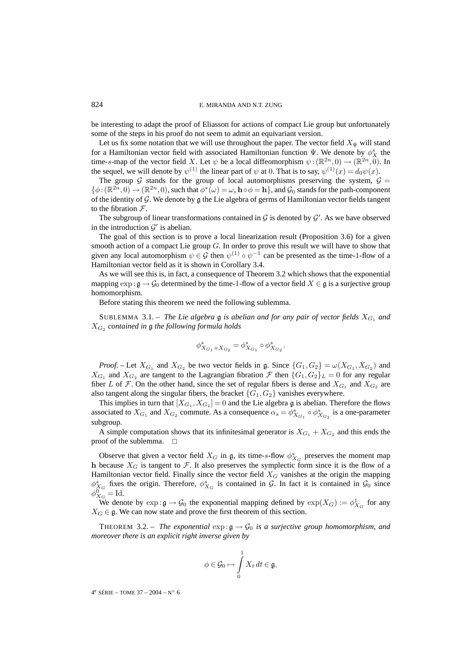be interesting to adapt the proof of Eliasson for actions of compact Lie group but unfortunately some of the steps in his proof do not seem to admit an equivariant version.

Let us fix some notation that we will use throughout the paper. The vector field  $X_{\Psi}$  will stand for a Hamiltonian vector field with associated Hamiltonian function  $\Psi$ . We denote by  $\phi_X^s$  the time-s-map of the vector field X. Let  $\psi$  be a local diffeomorphism  $\psi : (\mathbb{R}^{2n}, 0) \to (\mathbb{R}^{2n}, 0)$ . In the sequel, we will denote by  $\psi^{(1)}$  the linear part of  $\psi$  at 0. That is to say,  $\psi^{(1)}(x) = d_0 \psi(x)$ .

The group G stands for the group of local automorphisms preserving the system,  $G =$  $\{\phi : (\mathbb{R}^{2n}, 0) \to (\mathbb{R}^{2n}, 0)$ , such that  $\phi^*(\omega) = \omega$ ,  $\mathbf{h} \circ \phi = \mathbf{h}\}$ , and  $\mathcal{G}_0$  stands for the path-component of the identity of  $G$ . We denote by  $g$  the Lie algebra of germs of Hamiltonian vector fields tangent to the fibration  $\mathcal{F}$ .

The subgroup of linear transformations contained in  $G$  is denoted by  $G'$ . As we have observed in the introduction  $\mathcal{G}'$  is abelian.

The goal of this section is to prove a local linearization result (Proposition 3.6) for a given smooth action of a compact Lie group  $G$ . In order to prove this result we will have to show that given any local automorphism  $\psi \in \mathcal{G}$  then  $\psi^{(1)} \circ \psi^{-1}$  can be presented as the time-1-flow of a Hamiltonian vector field as it is shown in Corollary 3.4.

As we will see this is, in fact, a consequence of Theorem 3.2 which shows that the exponential mapping  $\exp : \mathfrak{g} \to \mathcal{G}_0$  determined by the time-1-flow of a vector field  $X \in \mathfrak{g}$  is a surjective group homomorphism.

Before stating this theorem we need the following sublemma.

SUBLEMMA 3.1. – *The Lie algebra*  $\mathfrak g$  *is abelian and for any pair of vector fields*  $X_{G_1}$  *and* X<sup>G</sup><sup>2</sup> *contained in* g *the following formula holds*

$$
\phi^s_{X_{G_1}+X_{G_2}}=\phi^s_{X_{G_1}}\circ \phi^s_{X_{G_2}}.
$$

*Proof.* – Let  $X_{G_1}$  and  $X_{G_2}$  be two vector fields in g. Since  $\{G_1, G_2\} = \omega(X_{G_1}, X_{G_2})$  and  $X_{G_1}$  and  $X_{G_2}$  are tangent to the Lagrangian fibration  $\mathcal F$  then  $\{G_1, G_2\}_L = 0$  for any regular fiber L of F. On the other hand, since the set of regular fibers is dense and  $X_{G_1}$  and  $X_{G_2}$  are also tangent along the singular fibers, the bracket  ${G_1, G_2}$  vanishes everywhere.

This implies in turn that  $[X_{G_1}, X_{G_2}] = 0$  and the Lie algebra g is abelian. Therefore the flows associated to  $X_{G_1}$  and  $X_{G_2}$  commute. As a consequence  $\alpha_s = \phi_{X_{G_1}}^s \circ \phi_{X_{G_2}}^s$  is a one-parameter subgroup.

A simple computation shows that its infinitesimal generator is  $X_{G_1} + X_{G_2}$  and this ends the proof of the sublemma.  $\square$ 

Observe that given a vector field  $X_G$  in g, its time-s-flow  $\phi_{X_G}^s$  preserves the moment map **h** because  $X_G$  is tangent to F. It also preserves the symplectic form since it is the flow of a Hamiltonian vector field. Finally since the vector field  $X_G$  vanishes at the origin the mapping  $\phi_{X_G}^s$  fixes the origin. Therefore,  $\phi_{X_G}^s$  is contained in G. In fact it is contained in  $\mathcal{G}_0$  since  $\phi_{X_G}^0 = \mathrm{Id}.$ 

We denote by  $\exp \colon \mathfrak{g} \to \mathcal{G}_0$  the exponential mapping defined by  $\exp(X_G) := \phi_{X_G}^1$  for any  $X_G \in \mathfrak{g}$ . We can now state and prove the first theorem of this section.

THEOREM 3.2. – *The exponential*  $\exp: \mathfrak{g} \to \mathcal{G}_0$  *is a surjective group homomorphism, and moreover there is an explicit right inverse given by*

$$
\phi \in \mathcal{G}_0 \mapsto \int\limits_0^1 X_t \, dt \in \mathfrak{g},
$$

4<sup>e</sup> SÉRIE – TOME 37 – 2004 – N° 6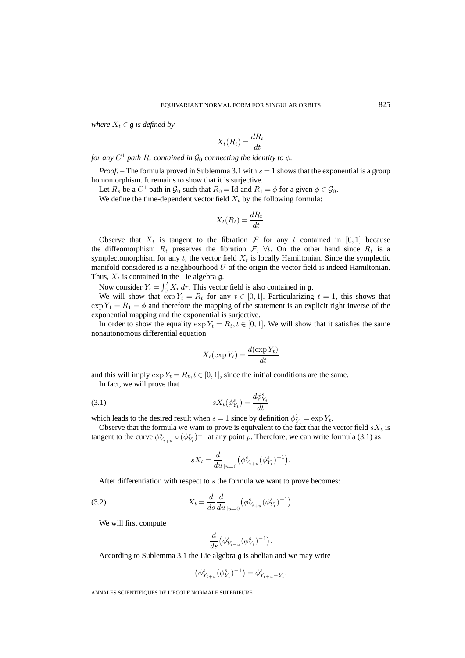*where*  $X_t \in \mathfrak{g}$  *is defined by* 

$$
X_t(R_t) = \frac{dR_t}{dt}
$$

*for any*  $C^1$  *path*  $R_t$  *contained in*  $\mathcal{G}_0$  *connecting the identity to*  $\phi$ *.* 

*Proof.* – The formula proved in Sublemma 3.1 with  $s = 1$  shows that the exponential is a group homomorphism. It remains to show that it is surjective.

Let  $R_s$  be a  $C^1$  path in  $\mathcal{G}_0$  such that  $R_0 = \text{Id}$  and  $R_1 = \phi$  for a given  $\phi \in \mathcal{G}_0$ .

We define the time-dependent vector field  $X_t$  by the following formula:

$$
X_t(R_t) = \frac{dR_t}{dt}.
$$

Observe that  $X_t$  is tangent to the fibration  $\mathcal F$  for any t contained in [0,1] because the diffeomorphism  $R_t$  preserves the fibration  $\mathcal{F}, \forall t$ . On the other hand since  $R_t$  is a symplectomorphism for any  $t$ , the vector field  $X_t$  is locally Hamiltonian. Since the symplectic manifold considered is a neighbourhood  $U$  of the origin the vector field is indeed Hamiltonian. Thus,  $X_t$  is contained in the Lie algebra g.

Now consider  $Y_t = \int_0^t X_r dr$ . This vector field is also contained in  $\mathfrak{g}$ .

We will show that  $\exp Y_t = R_t$  for any  $t \in [0, 1]$ . Particularizing  $t = 1$ , this shows that  $\exp Y_1 = R_1 = \phi$  and therefore the mapping of the statement is an explicit right inverse of the exponential mapping and the exponential is surjective.

In order to show the equality  $\exp Y_t = R_t, t \in [0, 1]$ . We will show that it satisfies the same nonautonomous differential equation

$$
X_t(\exp Y_t) = \frac{d(\exp Y_t)}{dt}
$$

and this will imply  $\exp Y_t = R_t, t \in [0, 1]$ , since the initial conditions are the same.

In fact, we will prove that

$$
(3.1)\t\t\t\t sX_t(\phi_{Y_t}^s) = \frac{d\phi_{Y_t}^s}{dt}
$$

which leads to the desired result when  $s = 1$  since by definition  $\phi_{Y_t}^1 = \exp Y_t$ .

Observe that the formula we want to prove is equivalent to the fact that the vector field  $sX_t$  is tangent to the curve  $\phi_{Y_{t+u}}^s \circ (\phi_{Y_t}^s)^{-1}$  at any point p. Therefore, we can write formula (3.1) as

$$
sX_t = \frac{d}{du}|_{u=0} (\phi^s_{Y_{t+u}} (\phi^s_{Y_t})^{-1}).
$$

After differentiation with respect to s the formula we want to prove becomes:

(3.2) 
$$
X_t = \frac{d}{ds} \frac{d}{du}|_{u=0} \left( \phi_{Y_{t+u}}^s (\phi_{Y_t}^s)^{-1} \right).
$$

We will first compute

$$
\frac{d}{ds} \left( \phi_{Y_{t+u}}^s (\phi_{Y_t}^s)^{-1} \right).
$$

According to Sublemma 3.1 the Lie algebra g is abelian and we may write

$$
\left( \phi_{Y_{t+u}}^s (\phi_{Y_t}^s)^{-1} \right) = \phi_{Y_{t+u} - Y_t}^s.
$$

ANNALES SCIENTIFIQUES DE L'ÉCOLE NORMALE SUPÉRIEURE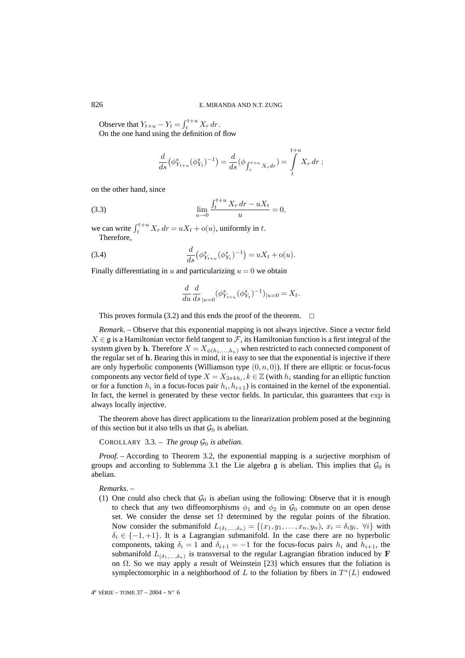Observe that  $Y_{t+u} - Y_t = \int_t^{t+u} X_r dr$ . On the one hand using the definition of flow

$$
\frac{d}{ds}(\phi_{Y_{t+u}}^s(\phi_{Y_t}^s)^{-1}) = \frac{d}{ds}(\phi_{\int_t^{t+u} X_r dr}) = \int_t^{t+u} X_r dr ;
$$

on the other hand, since

(3.3) 
$$
\lim_{u \to 0} \frac{\int_t^{t+u} X_r dr - u X_t}{u} = 0,
$$

we can write  $\int_{t}^{t+u} X_r dr = uX_t + o(u)$ , uniformly in t. Therefore,

(3.4) 
$$
\frac{d}{ds}(\phi_{Y_{t+u}}^s(\phi_{Y_t}^s)^{-1}) = uX_t + o(u).
$$

Finally differentiating in u and particularizing  $u = 0$  we obtain

$$
\frac{d}{du}\frac{d}{ds}_{|u=0}(\phi_{Y_{t+u}}^s(\phi_{Y_t}^s)^{-1})_{|u=0} = X_t.
$$

This proves formula (3.2) and this ends the proof of the theorem.  $\Box$ 

*Remark*. – Observe that this exponential mapping is not always injective. Since a vector field  $X \in \mathfrak{g}$  is a Hamiltonian vector field tangent to F, its Hamiltonian function is a first integral of the system given by **h**. Therefore  $X = X_{\phi(h_1,...,h_n)}$  when restricted to each connected component of the regular set of **h**. Bearing this in mind, it is easy to see that the exponential is injective if there are only hyperbolic components (Williamson type  $(0, n, 0)$ ). If there are elliptic or focus-focus components any vector field of type  $X = X_{2\pi k h_i}$ ,  $k \in \mathbb{Z}$  (with  $h_i$  standing for an elliptic function or for a function  $h_i$  in a focus-focus pair  $h_i$ ,  $h_{i+1}$ ) is contained in the kernel of the exponential. In fact, the kernel is generated by these vector fields. In particular, this guarantees that exp is always locally injective.

The theorem above has direct applications to the linearization problem posed at the beginning of this section but it also tells us that  $\mathcal{G}_0$  is abelian.

COROLLARY 3.3. – *The group*  $\mathcal{G}_0$  *is abelian.* 

*Proof.* – According to Theorem 3.2, the exponential mapping is a surjective morphism of groups and according to Sublemma 3.1 the Lie algebra  $\mathfrak g$  is abelian. This implies that  $\mathcal G_0$  is abelian.

*Remarks*. –

(1) One could also check that  $\mathcal{G}_0$  is abelian using the following: Observe that it is enough to check that any two diffeomorphisms  $\phi_1$  and  $\phi_2$  in  $\mathcal{G}_0$  commute on an open dense set. We consider the dense set  $\Omega$  determined by the regular points of the fibration. Now consider the submanifold  $L_{(\delta_1,...,\delta_n)} = \{(x_1,y_1,...,x_n,y_n), x_i = \delta_i y_i, \forall i\}$  with  $\delta_i \in \{-1, +1\}$ . It is a Lagrangian submanifold. In the case there are no hyperbolic components, taking  $\delta_i = 1$  and  $\delta_{i+1} = -1$  for the focus-focus pairs  $h_i$  and  $h_{i+1}$ , the submanifold  $L_{(\delta_1,...,\delta_n)}$  is transversal to the regular Lagrangian fibration induced by **F** on Ω. So we may apply a result of Weinstein [23] which ensures that the foliation is symplectomorphic in a neighborhood of L to the foliation by fibers in  $T^*(L)$  endowed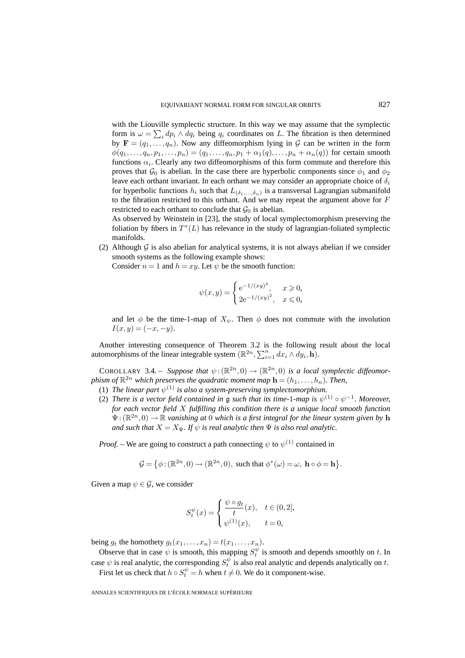with the Liouville symplectic structure. In this way we may assume that the symplectic form is  $\omega = \sum_i dp_i \wedge dq_i$  being  $q_i$  coordinates on L. The fibration is then determined by  $\mathbf{F} = (q_1, \ldots, q_n)$ . Now any diffeomorphism lying in G can be written in the form  $\phi(q_1,\ldots,q_n,p_1,\ldots,p_n)=(q_1,\ldots,q_n,p_1+\alpha_1(q),\ldots,p_n+\alpha_n(q))$  for certain smooth functions  $\alpha_i$ . Clearly any two diffeomorphisms of this form commute and therefore this proves that  $\mathcal{G}_0$  is abelian. In the case there are hyperbolic components since  $\phi_1$  and  $\phi_2$ leave each orthant invariant. In each orthant we may consider an appropriate choice of  $\delta_i$ for hyperbolic functions  $h_i$  such that  $L_{(\delta_1,...,\delta_n)}$  is a transversal Lagrangian submanifold to the fibration restricted to this orthant. And we may repeat the argument above for  $F$ restricted to each orthant to conclude that  $\mathcal{G}_0$  is abelian.

As observed by Weinstein in [23], the study of local symplectomorphism preserving the foliation by fibers in  $T^*(L)$  has relevance in the study of lagrangian-foliated symplectic manifolds.

(2) Although  $G$  is also abelian for analytical systems, it is not always abelian if we consider smooth systems as the following example shows:

Consider  $n = 1$  and  $h = xy$ . Let  $\psi$  be the smooth function:

$$
\psi(x,y) = \begin{cases} e^{-1/(xy)^2}, & x \geq 0, \\ 2e^{-1/(xy)^2}, & x \leq 0, \end{cases}
$$

and let  $\phi$  be the time-1-map of  $X_{\psi}$ . Then  $\phi$  does not commute with the involution  $I(x, y) = (-x, -y).$ 

Another interesting consequence of Theorem 3.2 is the following result about the local automorphisms of the linear integrable system  $(\mathbb{R}^{2n}, \sum_{i=1}^{n} dx_i \wedge dy_i, \mathbf{h})$ .

COROLLARY 3.4. – *Suppose that*  $\psi$ :  $(\mathbb{R}^{2n},0) \to (\mathbb{R}^{2n},0)$  *is a local symplectic diffeomorphism of*  $\mathbb{R}^{2n}$  *which preserves the quadratic moment map*  $\mathbf{h} = (h_1, \ldots, h_n)$ *. Then,* 

- (1) *The linear part*  $\psi^{(1)}$  *is also a system-preserving symplectomorphism.*
- (2) *There is a vector field contained in*  $\mathfrak g$  *such that its time-1-map is*  $\psi^{(1)} \circ \psi^{-1}$ *. Moreover, for each vector field* X *fulfilling this condition there is a unique local smooth function*  $\Psi: (\mathbb{R}^{2n}, 0) \to \mathbb{R}$  *vanishing at* 0 *which is a first integral for the linear system given by* **h** *and such that*  $X = X_{\Psi}$ *. If*  $\psi$  *is real analytic then*  $\Psi$  *is also real analytic.*

*Proof.* – We are going to construct a path connecting  $\psi$  to  $\psi^{(1)}$  contained in

$$
\mathcal{G} = \{ \phi : (\mathbb{R}^{2n}, 0) \to (\mathbb{R}^{2n}, 0), \text{ such that } \phi^*(\omega) = \omega, \text{ } \mathbf{h} \circ \phi = \mathbf{h} \}.
$$

Given a map  $\psi \in \mathcal{G}$ , we consider

$$
S_t^{\psi}(x) = \begin{cases} \frac{\psi \circ g_t}{t}(x), & t \in (0,2], \\ \psi^{(1)}(x), & t = 0, \end{cases}
$$

being  $g_t$  the homothety  $g_t(x_1,...,x_n) = t(x_1,...,x_n)$ .

Observe that in case  $\psi$  is smooth, this mapping  $S_t^{\psi}$  is smooth and depends smoothly on t. In case  $\psi$  is real analytic, the corresponding  $S_t^{\psi}$  is also real analytic and depends analytically on t.

First let us check that  $h \circ S_t^{\psi} = h$  when  $t \neq 0$ . We do it component-wise.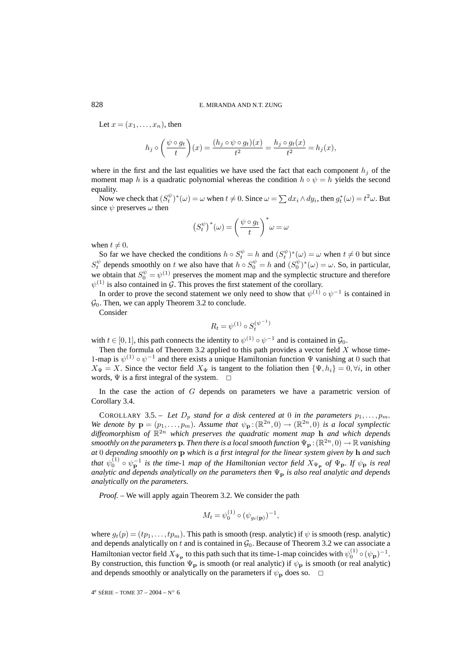Let  $x = (x_1, \ldots, x_n)$ , then

$$
h_j \circ \left(\frac{\psi \circ g_t}{t}\right)(x) = \frac{(h_j \circ \psi \circ g_t)(x)}{t^2} = \frac{h_j \circ g_t(x)}{t^2} = h_j(x),
$$

where in the first and the last equalities we have used the fact that each component  $h_j$  of the moment map h is a quadratic polynomial whereas the condition  $h \circ \psi = h$  yields the second equality.

Now we check that  $(S_t^{\psi})^*(\omega) = \omega$  when  $t \neq 0$ . Since  $\omega = \sum dx_i \wedge dy_i$ , then  $g_t^*(\omega) = t^2 \omega$ . But since  $\psi$  preserves  $\omega$  then

$$
(S_t^{\psi})^*(\omega) = \left(\frac{\psi \circ g_t}{t}\right)^* \omega = \omega
$$

when  $t \neq 0$ .

So far we have checked the conditions  $h \circ S_t^{\psi} = h$  and  $(S_t^{\psi})^*(\omega) = \omega$  when  $t \neq 0$  but since  $S_t^{\psi}$  depends smoothly on t we also have that  $h \circ S_0^{\psi} = h$  and  $(S_0^{\psi})^*(\omega) = \omega$ . So, in particular, we obtain that  $S_0^{\psi} = \psi^{(1)}$  preserves the moment map and the symplectic structure and therefore  $\psi^{(1)}$  is also contained in G. This proves the first statement of the corollary.

In order to prove the second statement we only need to show that  $\psi^{(1)} \circ \psi^{-1}$  is contained in  $\mathcal{G}_0$ . Then, we can apply Theorem 3.2 to conclude.

Consider

$$
R_t = \psi^{(1)} \circ S_t^{(\psi^{-1})}
$$

with  $t \in [0, 1]$ , this path connects the identity to  $\psi^{(1)} \circ \psi^{-1}$  and is contained in  $\mathcal{G}_0$ .

Then the formula of Theorem 3.2 applied to this path provides a vector field  $X$  whose time-1-map is  $\psi^{(1)} \circ \psi^{-1}$  and there exists a unique Hamiltonian function  $\Psi$  vanishing at 0 such that  $X_{\Psi} = X$ . Since the vector field  $X_{\Psi}$  is tangent to the foliation then  $\{\Psi, h_i\} = 0, \forall i$ , in other words,  $\Psi$  is a first integral of the system.  $\Box$ 

In the case the action of  $G$  depends on parameters we have a parametric version of Corollary 3.4.

COROLLARY 3.5. – Let  $D_p$  stand for a disk centered at 0 in the parameters  $p_1, \ldots, p_m$ . *We denote by*  $\mathbf{p} = (p_1, \ldots, p_m)$ *. Assume that*  $\psi_{\mathbf{p}} : (\mathbb{R}^{2n}, 0) \to (\mathbb{R}^{2n}, 0)$  *is a local symplectic diffeomorphism of* R2<sup>n</sup> *which preserves the quadratic moment map* **h** *and which depends smoothly on the parameters* **p***. Then there is a local smooth function*  $\Psi_{\bf p}$  :  $(\mathbb{R}^{2n},0) \to \mathbb{R}$  *vanishing at* 0 *depending smoothly on* **p** *which is a first integral for the linear system given by* **h** *and such* that  $\psi_0^{(1)} \circ \psi_P^{-1}$  is the time-1 map of the Hamiltonian vector field  $X_{\Psi_P}$  of  $\Psi_P$ *. If*  $\psi_P$  is real *analytic and depends analytically on the parameters then*  $\Psi_{\bf{p}}$  *is also real analytic and depends analytically on the parameters.*

*Proof. –* We will apply again Theorem 3.2. We consider the path

$$
M_t = \psi_0^{(1)} \circ (\psi_{g_t(\mathbf{p})})^{-1},
$$

where  $g_t(p)=(tp_1,\ldots, tp_m)$ . This path is smooth (resp. analytic) if  $\psi$  is smooth (resp. analytic) and depends analytically on t and is contained in  $\mathcal{G}_0$ . Because of Theorem 3.2 we can associate a Hamiltonian vector field  $X_{\Psi_p}$  to this path such that its time-1-map coincides with  $\psi_0^{(1)} \circ (\psi_p)^{-1}$ . By construction, this function  $\Psi_p$  is smooth (or real analytic) if  $\psi_p$  is smooth (or real analytic) and depends smoothly or analytically on the parameters if  $\psi_{\mathbf{p}}$  does so.  $\Box$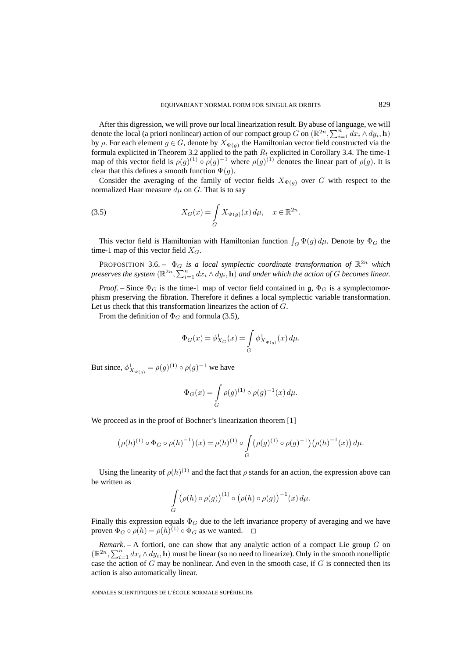After this digression, we will prove our local linearization result. By abuse of language, we will denote the local (a priori nonlinear) action of our compact group G on  $(\mathbb{R}^{2n}, \sum_{i=1}^n dx_i \wedge dy_i, \mathbf{h})$ by  $\rho$ . For each element  $g \in G$ , denote by  $X_{\Psi(g)}$  the Hamiltonian vector field constructed via the formula explicited in Theorem 3.2 applied to the path  $R_t$  explicited in Corollary 3.4. The time-1 map of this vector field is  $\rho(g)^{(1)} \circ \rho(g)^{-1}$  where  $\rho(g)^{(1)}$  denotes the linear part of  $\rho(g)$ . It is clear that this defines a smooth function  $\Psi(g)$ .

Consider the averaging of the family of vector fields  $X_{\Psi(q)}$  over G with respect to the normalized Haar measure  $d\mu$  on G. That is to say

(3.5) 
$$
X_G(x) = \int_G X_{\Psi(g)}(x) d\mu, \quad x \in \mathbb{R}^{2n}.
$$

This vector field is Hamiltonian with Hamiltonian function  $\int_G \Psi(g) d\mu$ . Denote by  $\Phi_G$  the time-1 map of this vector field  $X_G$ .

PROPOSITION 3.6. –  $\Phi_G$  *is a local symplectic coordinate transformation of*  $\mathbb{R}^{2n}$  *which preserves the system*  $(\mathbb{R}^{2n}, \sum_{i=1}^n dx_i \wedge dy_i, \mathbf{h})$  *and under which the action of G becomes linear.* 

*Proof.* – Since  $\Phi_G$  is the time-1 map of vector field contained in g,  $\Phi_G$  is a symplectomorphism preserving the fibration. Therefore it defines a local symplectic variable transformation. Let us check that this transformation linearizes the action of G.

From the definition of  $\Phi_G$  and formula (3.5),

$$
\Phi_G(x) = \phi^1_{X_G}(x) = \int_G \phi^1_{X_{\Psi(g)}}(x) \, d\mu.
$$

But since,  $\phi_{X_{\Psi(g)}}^1 = \rho(g)^{(1)} \circ \rho(g)^{-1}$  we have

$$
\Phi_G(x) = \int_G \rho(g)^{(1)} \circ \rho(g)^{-1}(x) \, d\mu.
$$

We proceed as in the proof of Bochner's linearization theorem [1]

$$
\left(\rho(h)^{(1)} \circ \Phi_G \circ \rho(h)^{-1}\right)(x) = \rho(h)^{(1)} \circ \int\limits_G \left(\rho(g)^{(1)} \circ \rho(g)^{-1}\right) \left(\rho(h)^{-1}(x)\right) d\mu.
$$

Using the linearity of  $\rho(h)^{(1)}$  and the fact that  $\rho$  stands for an action, the expression above can be written as

$$
\int\limits_G (\rho(h)\circ\rho(g))^{(1)}\circ(\rho(h)\circ\rho(g))^{-1}(x)\,d\mu.
$$

Finally this expression equals  $\Phi_G$  due to the left invariance property of averaging and we have proven  $\Phi_G \circ \rho(h) = \rho(h)^{(1)} \circ \Phi_G$  as we wanted.  $\Box$ 

*Remark*. – A fortiori, one can show that any analytic action of a compact Lie group G on  $(\mathbb{R}^{2n}, \sum_{i=1}^n dx_i \wedge dy_i, \mathbf{h})$  must be linear (so no need to linearize). Only in the smooth nonelliptic case the action of  $G$  may be nonlinear. And even in the smooth case, if  $G$  is connected then its action is also automatically linear.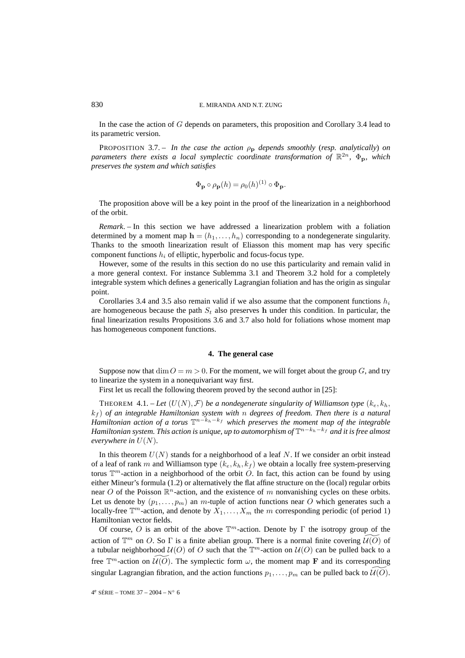In the case the action of G depends on parameters, this proposition and Corollary 3.4 lead to its parametric version.

PROPOSITION 3.7. – *In the case the action*  $\rho_p$  *depends smoothly (resp. analytically) on parameters there exists a local symplectic coordinate transformation of*  $\mathbb{R}^{2n}$ ,  $\Phi_{p}$ *, which preserves the system and which satisfies*

$$
\Phi_{\mathbf{p}} \circ \rho_{\mathbf{p}}(h) = \rho_0(h)^{(1)} \circ \Phi_{\mathbf{p}}.
$$

The proposition above will be a key point in the proof of the linearization in a neighborhood of the orbit.

*Remark*. – In this section we have addressed a linearization problem with a foliation determined by a moment map  $\mathbf{h} = (h_1, \ldots, h_n)$  corresponding to a nondegenerate singularity. Thanks to the smooth linearization result of Eliasson this moment map has very specific component functions  $h_i$  of elliptic, hyperbolic and focus-focus type.

However, some of the results in this section do no use this particularity and remain valid in a more general context. For instance Sublemma 3.1 and Theorem 3.2 hold for a completely integrable system which defines a generically Lagrangian foliation and has the origin as singular point.

Corollaries 3.4 and 3.5 also remain valid if we also assume that the component functions  $h_i$ are homogeneous because the path  $S_t$  also preserves **h** under this condition. In particular, the final linearization results Propositions 3.6 and 3.7 also hold for foliations whose moment map has homogeneous component functions.

#### **4. The general case**

Suppose now that  $\dim O = m > 0$ . For the moment, we will forget about the group G, and try to linearize the system in a nonequivariant way first.

First let us recall the following theorem proved by the second author in [25]:

THEOREM 4.1. – Let  $(U(N), \mathcal{F})$  be a nondegenerate singularity of Williamson type  $(k_e, k_h)$ , k<sup>f</sup> ) *of an integrable Hamiltonian system with* n *degrees of freedom. Then there is a natural Hamiltonian action of a torus*  $\mathbb{T}^{n-k_h-k_f}$  *which preserves the moment map of the integrable Hamiltonian system. This action is unique, up to automorphism of*  $\mathbb{T}^{n-k_h-k_f}$  *and it is free almost everywhere in*  $U(N)$ *.* 

In this theorem  $U(N)$  stands for a neighborhood of a leaf N. If we consider an orbit instead of a leaf of rank m and Williamson type  $(k_e, k_h, k_f)$  we obtain a locally free system-preserving torus  $\mathbb{T}^m$ -action in a neighborhood of the orbit O. In fact, this action can be found by using either Mineur's formula (1.2) or alternatively the flat affine structure on the (local) regular orbits near O of the Poisson  $\mathbb{R}^n$ -action, and the existence of m nonvanishing cycles on these orbits. Let us denote by  $(p_1,...,p_m)$  an m-tuple of action functions near O which generates such a locally-free  $\mathbb{T}^m$ -action, and denote by  $X_1, \ldots, X_m$  the m corresponding periodic (of period 1) Hamiltonian vector fields.

Of course, O is an orbit of the above  $\mathbb{T}^m$ -action. Denote by  $\Gamma$  the isotropy group of the action of  $\mathbb{T}^m$  on O. So  $\Gamma$  is a finite abelian group. There is a normal finite covering  $\widetilde{u(O)}$  of a tubular neighborhood  $U(0)$  of O such that the  $\mathbb{T}^m$ -action on  $U(0)$  can be pulled back to a free  $\mathbb{T}^m$ -action on  $\widetilde{\mathcal{U}(O)}$ . The symplectic form  $\omega$ , the moment map **F** and its corresponding singular Lagrangian fibration, and the action functions  $p_1, \ldots, p_m$  can be pulled back to  $\widetilde{u(0)}$ .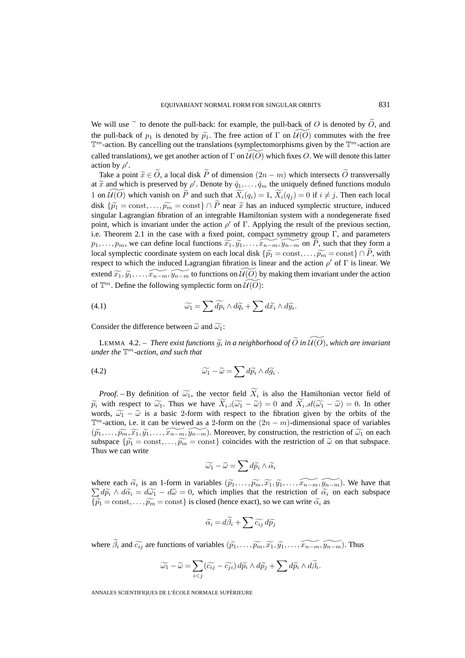We will use  $\tilde{c}$  to denote the pull-back: for example, the pull-back of O is denoted by O, and the pull-back of  $p_1$  is denoted by  $\widetilde{p_1}$ . The free action of  $\Gamma$  on  $\widetilde{U(O)}$  commutes with the free  $\mathbb{T}^m$ -action. By cancelling out the translations (symplectomorphisms given by the  $\mathbb{T}^m$ -action are called translations), we get another action of  $\Gamma$  on  $\widetilde{\mathcal{U}(O)}$  which fixes O. We will denote this latter action by  $\rho'$ .

Take a point  $\tilde{x} \in \tilde{O}$ , a local disk  $\tilde{P}$  of dimension  $(2n - m)$  which intersects  $\tilde{O}$  transversally at  $\widetilde{x}$  and which is preserved by  $\rho'$ . Denote by  $\hat{q}_1, \ldots, \hat{q}_m$  the uniquely defined functions modulo 1 on  $\widetilde{U}(0)$  which vanish on  $\widetilde{P}$  and such that  $\widetilde{X}_i(q_i)=1$ ,  $\widetilde{X}_i(q_j)=0$  if  $i \neq j$ . Then each local disk  $\{\widetilde{p_1} = \text{const}, \ldots, \widetilde{p_m} = \text{const}\}\cap \widetilde{P}$  near  $\widetilde{x}$  has an induced symplectic structure, induced singular Lagrangian fibration of an integrable Hamiltonian system with a nondegenerate fixed point, which is invariant under the action  $\rho'$  of  $\Gamma$ . Applying the result of the previous section, i.e. Theorem 2.1 in the case with a fixed point, compact symmetry group  $\Gamma$ , and parameters  $p_1, \ldots, p_m$ , we can define local functions  $\widetilde{x_1}, \widetilde{y_1}, \ldots, \widetilde{x_{n-m}}, \widetilde{y_{n-m}}$  on  $\widetilde{P}$ , such that they form a local symplectic coordinate system on each local disk  $\{\widetilde{p_1} = \text{const}, \ldots, \widetilde{p_m} = \text{const}\}\cap \widetilde{P}$ , with respect to which the induced Lagrangian fibration is linear and the action  $\rho'$  of  $\Gamma$  is linear. We extend  $\widetilde{x_1}, \widetilde{y_1}, \ldots, \widetilde{x_{n-m}}, \widetilde{y_{n-m}}$  to functions on  $\widetilde{U(0)}$  by making them invariant under the action of  $\mathbb{T}^m$ . Define the following symplectic form on  $\widetilde{\mathcal{U}(O)}$ :

(4.1) 
$$
\widetilde{\omega_1} = \sum \widetilde{dp_i} \wedge d\widetilde{q_i} + \sum d\widetilde{x_i} \wedge d\widetilde{y_i}.
$$

Consider the difference between  $\tilde{\omega}$  and  $\tilde{\omega_1}$ :

LEMMA 4.2. – *There exist functions*  $\widetilde{g}_i$  *in a neighborhood of*  $\widetilde{O}$  *in*  $\widetilde{U(O)}$ *, which are invariant under the*  $\mathbb{T}^m$ -action, and such that

(4.2) 
$$
\widetilde{\omega_1} - \widetilde{\omega} = \sum d\widetilde{p}_i \wedge d\widetilde{g}_i .
$$

*Proof.* – By definition of  $\widetilde{\omega_1}$ , the vector field  $X_i$  is also the Hamiltonian vector field of  $\widetilde{p_i}$  with respect to  $\widetilde{\omega_1}$ . Thus we have  $X_{i\to}(\widetilde{\omega_1} - \widetilde{\omega}) = 0$  and  $X_{i\to}d(\widetilde{\omega_1} - \widetilde{\omega}) = 0$ . In other words,  $\widetilde{\omega_1} - \widetilde{\omega}$  is a basic 2-form with respect to the fibration given by the orbits of the  $\mathbb{T}^m$ -action, i.e. it can be viewed as a 2-form on the  $(2n - m)$ -dimensional space of variables  $(\widetilde{p}_1,\ldots,\widetilde{p_m},\widetilde{x_1},\widetilde{y_1},\ldots,\widetilde{x_{n-m}},\widetilde{y_{n-m}})$ . Moreover, by construction, the restriction of  $\widetilde{\omega_1}$  on each when subspace  $\{\tilde{p}_1 = \text{const}, \ldots, \tilde{p}_m = \text{const}\}$  coincides with the restriction of  $\tilde{\omega}$  on that subspace. Thus we can write

$$
\widetilde{\omega_1}-\widetilde{\omega}=\sum d\widetilde{p_i}\wedge\widetilde{\alpha_i}
$$

where each  $\tilde{\alpha}_i$  is an 1-form in variables  $(\tilde{p}_1, \ldots, \tilde{p}_m, \tilde{x}_1, \tilde{y}_1, \ldots, \tilde{x}_n, \tilde{y}_n, \ldots)$ . We have that  $\sum d\widetilde{p_i} \wedge d\widetilde{\alpha_i} = d\widetilde{\omega_1} - d\widetilde{\omega} = 0$ , which implies that the restriction of  $\widetilde{\alpha_i}$  on each subspace  $\{\widetilde{p_1} = \text{const}, \ldots, \widetilde{p_m} = \text{const}\}\$ is closed (hence exact), so we can write  $\widetilde{\alpha_i}$  as

$$
\widetilde{\alpha_i} = d\widetilde{\beta}_i + \sum \widetilde{c_{ij}} \, d\widetilde{p}_j
$$

where  $\tilde{\beta}_i$  and  $\tilde{c}_{ij}$  are functions of variables  $(\tilde{p}_1,\ldots,\tilde{p}_m,\tilde{x}_1,\tilde{y}_1,\ldots,\tilde{x}_{n-m},\tilde{y}_{n-m})$ . Thus

$$
\widetilde{\omega_1} - \widetilde{\omega} = \sum_{i < j} (\widetilde{c_{ij}} - \widetilde{c_{ji}}) \, d\widetilde{p_i} \wedge d\widetilde{p_j} + \sum d\widetilde{p_i} \wedge d\widetilde{\beta_i}.
$$

ANNALES SCIENTIFIQUES DE L'ÉCOLE NORMALE SUPÉRIEURE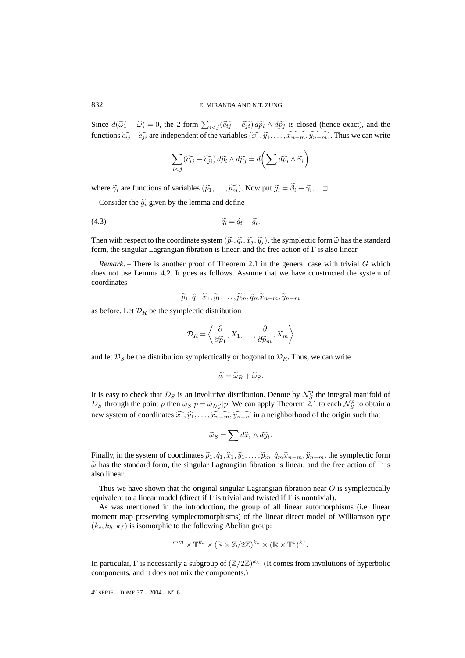Since  $d(\widetilde{\omega_1} - \widetilde{\omega}) = 0$ , the 2-form  $\sum_{i < j} (\widetilde{c_{ij}} - \widetilde{c_{ji}}) d\widetilde{p_i} \wedge d\widetilde{p_j}$  is closed (hence exact), and the functions  $\widetilde{c_{ij}} - \widetilde{c_{ji}}$  are independent of the variables  $(\widetilde{x_1}, \widetilde{y_1}, \ldots, \widetilde{x_{n-m}}, \widetilde{y_{n-m}})$ . Thus we can write

$$
\sum_{i < j} (\widetilde{c_{ij}} - \widetilde{c_{ji}}) \, d\widetilde{p_i} \wedge d\widetilde{p_j} = d\bigg(\sum d\widetilde{p_i} \wedge \widetilde{\gamma_i}\bigg)
$$

where  $\widetilde{\gamma}_i$  are functions of variables  $(\widetilde{p_1}, \ldots, \widetilde{p_m})$ . Now put  $\widetilde{g_i} = \widetilde{\beta}_i + \widetilde{\gamma}_i$ .  $\Box$ 

Consider the  $\tilde{q}_i$  given by the lemma and define

$$
\widetilde{q_i} = \hat{q}_i - \widetilde{g_i}.
$$

Then with respect to the coordinate system  $(\tilde{p}_i, \tilde{q}_i, \tilde{x}_j, \tilde{y}_j)$ , the symplectic form  $\tilde{\omega}$  has the standard form, the singular Lagrangian fibration is linear, and the free action of Γ is also linear.

*Remark*. – There is another proof of Theorem 2.1 in the general case with trivial  $G$  which does not use Lemma 4.2. It goes as follows. Assume that we have constructed the system of coordinates

$$
\widetilde{p}_1, \hat{q}_1, \widetilde{x}_1, \widetilde{y}_1, \ldots, \widetilde{p}_m, \hat{q}_m \widetilde{x}_{n-m}, \widetilde{y}_{n-m}
$$

as before. Let  $\mathcal{D}_R$  be the symplectic distribution

$$
\mathcal{D}_R = \left\langle \frac{\partial}{\partial \widetilde{p}_1}, X_1, \dots, \frac{\partial}{\partial \widetilde{p}_m}, X_m \right\rangle
$$

and let  $\mathcal{D}_S$  be the distribution symplectically orthogonal to  $\mathcal{D}_R$ . Thus, we can write

$$
\widetilde{w} = \widetilde{\omega}_R + \widetilde{\omega}_S.
$$

It is easy to check that  $D_S$  is an involutive distribution. Denote by  $\mathcal{N}_S^p$  the integral manifold of  $D_S$  through the point p then  $\widetilde{\omega}_S|p = \widetilde{\omega}_{N_S^p}|p$ . We can apply Theorem 2.1 to each  $N_S^p$  to obtain a new system of coordinates  $\widehat{x_1}, \widehat{y_1}, \ldots, \widehat{x_{n-m}}, \widehat{y_{n-m}}$  in a neighborhood of the origin such that

$$
\widetilde{\omega}_S = \sum d\widehat{x}_i \wedge d\widehat{y}_i.
$$

Finally, in the system of coordinates  $\tilde{p}_1, \hat{q}_1, \hat{x}_1, \hat{y}_1, \ldots, \tilde{p}_m, \hat{q}_m \hat{x}_{n-m}, \hat{y}_{n-m}$ , the symplectic form  $\tilde{\omega}$  has the standard form, the singular Lagrangian fibration is linear, and the free action of  $\Gamma$  is also linear.

Thus we have shown that the original singular Lagrangian fibration near  $O$  is symplectically equivalent to a linear model (direct if  $\Gamma$  is trivial and twisted if  $\Gamma$  is nontrivial).

As was mentioned in the introduction, the group of all linear automorphisms (i.e. linear moment map preserving symplectomorphisms) of the linear direct model of Williamson type  $(k_e, k_h, k_f)$  is isomorphic to the following Abelian group:

$$
\mathbb{T}^m \times \mathbb{T}^{k_e} \times (\mathbb{R} \times \mathbb{Z}/2\mathbb{Z})^{k_h} \times (\mathbb{R} \times \mathbb{T}^1)^{k_f}.
$$

In particular, Γ is necessarily a subgroup of  $(\mathbb{Z}/2\mathbb{Z})^{k_h}$ . (It comes from involutions of hyperbolic components, and it does not mix the components.)

4<sup>e</sup> SÉRIE – TOME 37 – 2004 – N° 6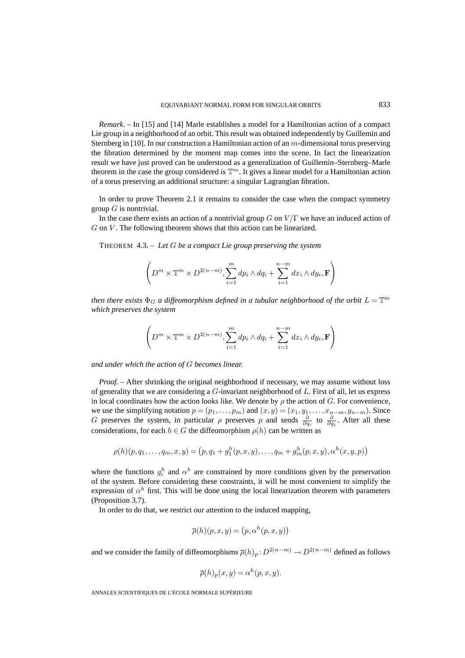*Remark*. – In [15] and [14] Marle establishes a model for a Hamiltonian action of a compact Lie group in a neighborhood of an orbit. This result was obtained independently by Guillemin and Sternberg in [10]. In our construction a Hamiltonian action of an m-dimensional torus preserving the fibration determined by the moment map comes into the scene. In fact the linearization result we have just proved can be understood as a generalization of Guillemin–Sternberg–Marle theorem in the case the group considered is  $\mathbb{T}^m$ . It gives a linear model for a Hamiltonian action of a torus preserving an additional structure: a singular Lagrangian fibration.

In order to prove Theorem 2.1 it remains to consider the case when the compact symmetry group  $G$  is nontrivial.

In the case there exists an action of a nontrivial group  $G$  on  $V/\Gamma$  we have an induced action of  $G$  on  $V$ . The following theorem shows that this action can be linearized.

THEOREM 4.3. – *Let* G *be a compact Lie group preserving the system*

$$
\left(D^m \times \mathbb{T}^m \times D^{2(n-m)}, \sum_{i=1}^m dp_i \wedge dq_i + \sum_{i=1}^{n-m} dx_i \wedge dy_i, \mathbf{F}\right)
$$

*then there exists*  $\Phi_G$  *a diffeomorphism defined in a tubular neighborhood of the orbit*  $L = \mathbb{T}^m$ *which preserves the system*

$$
\left(D^m\times\mathbb{T}^m\times D^{2(n-m)},\sum_{i=1}^mdp_i\wedge dq_i+\sum_{i=1}^{n-m}dx_i\wedge dy_i,\mathbf{F}\right)
$$

*and under which the action of* G *becomes linear.*

*Proof. –* After shrinking the original neighborhood if necessary, we may assume without loss of generality that we are considering a  $G$ -invariant neighborhood of  $L$ . First of all, let us express in local coordinates how the action looks like. We denote by  $\rho$  the action of G. For convenience, we use the simplifying notation  $p = (p_1, \ldots, p_m)$  and  $(x, y) = (x_1, y_1, \ldots, x_{n-m}, y_{n-m})$ . Since G preserves the system, in particular  $\rho$  preserves p and sends  $\frac{\partial}{\partial q_i}$  to  $\frac{\partial}{\partial q_i}$ . After all these considerations, for each  $h \in G$  the diffeomorphism  $\rho(h)$  can be written as

$$
\rho(h)(p, q_1, \ldots, q_m, x, y) = (p, q_1 + g_1^h(p, x, y), \ldots, q_m + g_m^h(p, x, y), \alpha^h(x, y, p))
$$

where the functions  $g_i^h$  and  $\alpha^h$  are constrained by more conditions given by the preservation of the system. Before considering these constraints, it will be most convenient to simplify the expression of  $\alpha^h$  first. This will be done using the local linearization theorem with parameters (Proposition 3.7).

In order to do that, we restrict our attention to the induced mapping,

$$
\overline{\rho}(h)(p, x, y) = (p, \alpha^h(p, x, y))
$$

and we consider the family of diffeomorphisms  $\overline{\rho}(h)_p : D^{2(n-m)} \to D^{2(n-m)}$  defined as follows

$$
\overline{\rho}(h)_p(x,y) = \alpha^h(p,x,y).
$$

ANNALES SCIENTIFIQUES DE L'ÉCOLE NORMALE SUPÉRIEURE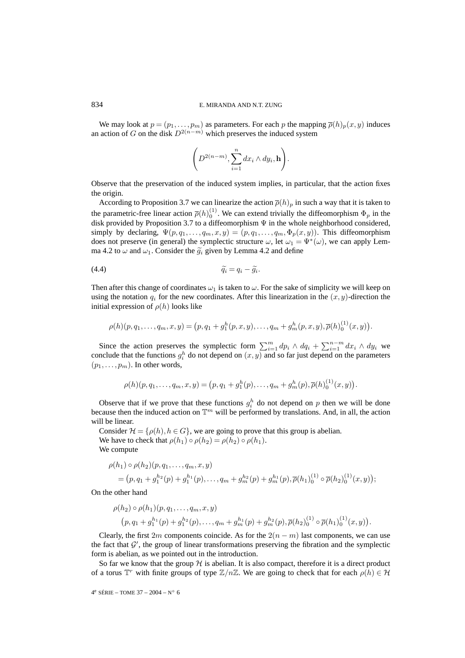#### 834 E. MIRANDA AND N.T. ZUNG

We may look at  $p = (p_1, \ldots, p_m)$  as parameters. For each p the mapping  $\overline{\rho}(h)_p(x, y)$  induces an action of G on the disk  $D^{2(n-m)}$  which preserves the induced system

$$
\left(D^{2(n-m)},\sum_{i=1}^n dx_i\wedge dy_i, \mathbf{h}\right).
$$

Observe that the preservation of the induced system implies, in particular, that the action fixes the origin.

According to Proposition 3.7 we can linearize the action  $\overline{\rho}(h_p)$  in such a way that it is taken to the parametric-free linear action  $\bar{\rho}(h)_{0}^{(1)}$ . We can extend trivially the diffeomorphism  $\Phi_p$  in the disk provided by Proposition 3.7 to a diffeomorphism Ψ in the whole neighborhood considered, simply by declaring,  $\Psi(p, q_1, \ldots, q_m, x, y)=(p, q_1, \ldots, q_m, \Phi_p(x, y))$ . This diffeomorphism does not preserve (in general) the symplectic structure  $\omega$ , let  $\omega_1 = \Psi^*(\omega)$ , we can apply Lemma 4.2 to  $\omega$  and  $\omega_1$ . Consider the  $\tilde{g}_i$  given by Lemma 4.2 and define

$$
\widetilde{q_i} = q_i - \widetilde{g_i}.
$$

Then after this change of coordinates  $\omega_1$  is taken to  $\omega$ . For the sake of simplicity we will keep on using the notation  $q_i$  for the new coordinates. After this linearization in the  $(x, y)$ -direction the initial expression of  $\rho(h)$  looks like

$$
\rho(h)(p,q_1,\ldots,q_m,x,y) = (p,q_1+g_1^h(p,x,y),\ldots,q_m+g_m^h(p,x,y),\overline{\rho}(h)_0^{(1)}(x,y)).
$$

Since the action preserves the symplectic form  $\sum_{i=1}^{m} dp_i \wedge dq_i + \sum_{i=1}^{n-m} dx_i \wedge dy_i$  we conclude that the functions  $g_i^h$  do not depend on  $(x, y)$  and so far just depend on the parameters  $(p_1, \ldots, p_m)$ . In other words,

$$
\rho(h)(p,q_1,\ldots,q_m,x,y) = (p,q_1+g_1^h(p),\ldots,q_m+g_m^h(p),\overline{\rho}(h)_0^{(1)}(x,y)).
$$

Observe that if we prove that these functions  $g_i^h$  do not depend on p then we will be done because then the induced action on  $\mathbb{T}^m$  will be performed by translations. And, in all, the action will be linear.

Consider  $\mathcal{H} = \{\rho(h), h \in G\}$ , we are going to prove that this group is abelian. We have to check that  $\rho(h_1) \circ \rho(h_2) = \rho(h_2) \circ \rho(h_1)$ . We compute

$$
\rho(h_1) \circ \rho(h_2)(p, q_1, \dots, q_m, x, y) = (p, q_1 + g_1^{h_2}(p) + g_1^{h_1}(p), \dots, q_m + g_m^{h_2}(p) + g_m^{h_1}(p), \overline{\rho}(h_1)_0^{(1)} \circ \overline{\rho}(h_2)_0^{(1)}(x, y));
$$

On the other hand

$$
\rho(h_2) \circ \rho(h_1)(p, q_1, \ldots, q_m, x, y)
$$
  
\n
$$
(p, q_1 + g_1^{h_1}(p) + g_1^{h_2}(p), \ldots, q_m + g_m^{h_1}(p) + g_m^{h_2}(p), \overline{\rho}(h_2)_0^{(1)} \circ \overline{\rho}(h_1)_0^{(1)}(x, y)).
$$

Clearly, the first 2m components coincide. As for the  $2(n-m)$  last components, we can use the fact that  $\mathcal{G}'$ , the group of linear transformations preserving the fibration and the symplectic form is abelian, as we pointed out in the introduction.

So far we know that the group  $H$  is abelian. It is also compact, therefore it is a direct product of a torus  $\mathbb{T}^r$  with finite groups of type  $\mathbb{Z}/n\mathbb{Z}$ . We are going to check that for each  $\rho(h) \in \mathcal{H}$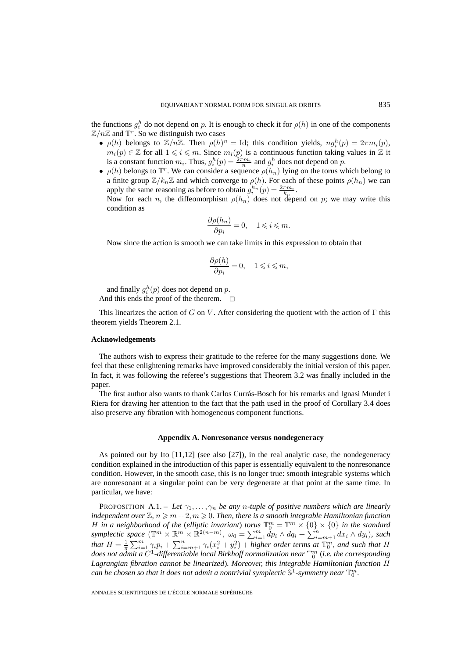the functions  $g_i^h$  do not depend on p. It is enough to check it for  $\rho(h)$  in one of the components  $\mathbb{Z}/n\mathbb{Z}$  and  $\mathbb{T}^r$ . So we distinguish two cases

- $\rho(h)$  belongs to  $\mathbb{Z}/n\mathbb{Z}$ . Then  $\rho(h)^n = \text{Id}$ ; this condition yields,  $ng_i^h(p) = 2\pi m_i(p)$ ,  $m_i(p) \in \mathbb{Z}$  for all  $1 \leq i \leq m$ . Since  $m_i(p)$  is a continuous function taking values in  $\mathbb Z$  it is a constant function  $m_i$ . Thus,  $g_i^h(p) = \frac{2\pi m_i}{n}$  and  $g_i^h$  does not depend on p.
- $\rho(h)$  belongs to  $\mathbb{T}^r$ . We can consider a sequence  $\rho(h_n)$  lying on the torus which belong to a finite group  $\mathbb{Z}/k_n\mathbb{Z}$  and which converge to  $\rho(h)$ . For each of these points  $\rho(h_n)$  we can apply the same reasoning as before to obtain  $g_i^{h_n}(p) = \frac{2\pi m_i}{k_n}$ . Now for each n, the diffeomorphism  $\rho(h_n)$  does not depend on p; we may write this condition as

$$
\frac{\partial \rho(h_n)}{\partial p_i}=0,\quad 1\leqslant i\leqslant m.
$$

Now since the action is smooth we can take limits in this expression to obtain that

$$
\frac{\partial \rho(h)}{\partial p_i} = 0, \quad 1 \leqslant i \leqslant m,
$$

and finally  $g_i^h(p)$  does not depend on p. And this ends the proof of the theorem.  $\Box$ 

This linearizes the action of G on V. After considering the quotient with the action of  $\Gamma$  this theorem yields Theorem 2.1.

#### **Acknowledgements**

The authors wish to express their gratitude to the referee for the many suggestions done. We feel that these enlightening remarks have improved considerably the initial version of this paper. In fact, it was following the referee's suggestions that Theorem 3.2 was finally included in the paper.

The first author also wants to thank Carlos Currás-Bosch for his remarks and Ignasi Mundet i Riera for drawing her attention to the fact that the path used in the proof of Corollary 3.4 does also preserve any fibration with homogeneous component functions.

#### **Appendix A. Nonresonance versus nondegeneracy**

As pointed out by Ito [11,12] (see also [27]), in the real analytic case, the nondegeneracy condition explained in the introduction of this paper is essentially equivalent to the nonresonance condition. However, in the smooth case, this is no longer true: smooth integrable systems which are nonresonant at a singular point can be very degenerate at that point at the same time. In particular, we have:

PROPOSITION A.1. – Let  $\gamma_1, \ldots, \gamma_n$  be any *n*-tuple of positive numbers which are linearly *independent over*  $\mathbb{Z}, n \geq m+2, m \geq 0$ . Then, there is a smooth integrable Hamiltonian function H in a neighborhood of the (elliptic invariant) *torus*  $\mathbb{T}_0^m = \mathbb{T}^m \times \{0\} \times \{0\}$  in the standard *symplectic space*  $(\mathbb{T}^m \times \mathbb{R}^m \times \mathbb{R}^{2(n-m)}, \omega_0 = \sum_{i=1}^m dp_i \wedge dq_i + \sum_{i=m+1}^n dx_i \wedge dy_i$ *), such that*  $H = \frac{1}{\pi} \sum_{i=1}^{m} \gamma_i p_i + \sum_{i=m+1}^{n} \gamma_i (x_i^2 + y_i^2) +$  *higher order terms at*  $\mathbb{T}_0^m$ *, and such that*  $H$ does not admit a C<sup>1</sup>-differentiable local Birkhoff normalization near  $\mathbb{T}_0^m$  (i.e. the corresponding *Lagrangian fibration cannot be linearized*)*. Moreover, this integrable Hamiltonian function* H can be chosen so that it does not admit a nontrivial symplectic  $\mathbb{S}^1$ -symmetry near  $\mathbb{T}^m_0.$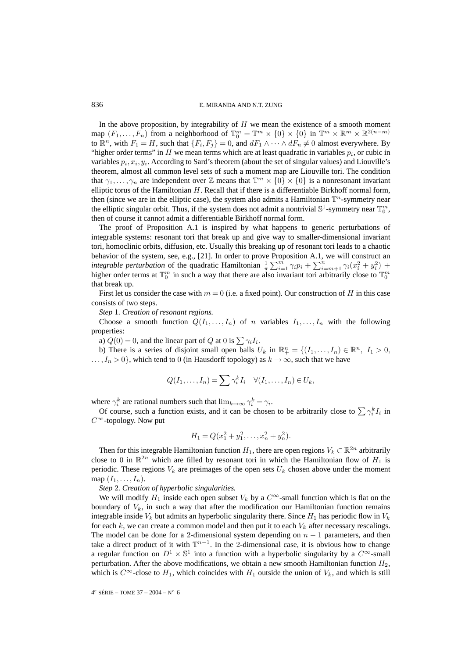In the above proposition, by integrability of  $H$  we mean the existence of a smooth moment map  $(F_1, \ldots, F_n)$  from a neighborhood of  $\mathbb{T}_0^m = \mathbb{T}^m \times \{0\} \times \{0\}$  in  $\mathbb{T}^m \times \mathbb{R}^m \times \mathbb{R}^{2(n-m)}$ to  $\mathbb{R}^n$ , with  $F_1 = H$ , such that  $\{F_i, F_j\} = 0$ , and  $dF_1 \wedge \cdots \wedge dF_n \neq 0$  almost everywhere. By "higher order terms" in H we mean terms which are at least quadratic in variables  $p_i$ , or cubic in variables  $p_i, x_i, y_i$ . According to Sard's theorem (about the set of singular values) and Liouville's theorem, almost all common level sets of such a moment map are Liouville tori. The condition that  $\gamma_1,\ldots,\gamma_n$  are independent over Z means that  $\mathbb{T}^m\times\{0\}\times\{0\}$  is a nonresonant invariant elliptic torus of the Hamiltonian  $H$ . Recall that if there is a differentiable Birkhoff normal form, then (since we are in the elliptic case), the system also admits a Hamiltonian  $\mathbb{T}^n$ -symmetry near the elliptic singular orbit. Thus, if the system does not admit a nontrivial  $\mathbb{S}^1$ -symmetry near  $\mathbb{T}^m_0$ , then of course it cannot admit a differentiable Birkhoff normal form.

The proof of Proposition A.1 is inspired by what happens to generic perturbations of integrable systems: resonant tori that break up and give way to smaller-dimensional invariant tori, homoclinic orbits, diffusion, etc. Usually this breaking up of resonant tori leads to a chaotic behavior of the system, see, e.g., [21]. In order to prove Proposition A.1, we will construct an *integrable perturbation* of the quadratic Hamiltonian  $\frac{1}{\pi} \sum_{i=1}^{m} \gamma_i p_i + \sum_{i=m+1}^{n} \gamma_i (x_i^2 + y_i^2)$  + higher order terms at  $\mathbb{T}_0^m$  in such a way that there are also invariant tori arbitrarily close to  $\mathbb{T}_0^m$ that break up.

First let us consider the case with  $m = 0$  (i.e. a fixed point). Our construction of H in this case consists of two steps.

*Step* 1*. Creation of resonant regions.*

Choose a smooth function  $Q(I_1, \ldots, I_n)$  of n variables  $I_1, \ldots, I_n$  with the following properties:

a)  $Q(0) = 0$ , and the linear part of Q at 0 is  $\sum \gamma_i I_i$ .

b) There is a series of disjoint small open balls  $U_k$  in  $\mathbb{R}^n_+ = \{(I_1, \ldots, I_n) \in \mathbb{R}^n, I_1 > 0,$  $..., I_n > 0$ , which tend to 0 (in Hausdorff topology) as  $k \to \infty$ , such that we have

$$
Q(I_1,\ldots,I_n)=\sum \gamma_i^k I_i \quad \forall (I_1,\ldots,I_n)\in U_k,
$$

where  $\gamma_i^k$  are rational numbers such that  $\lim_{k\to\infty} \gamma_i^k = \gamma_i$ .

Of course, such a function exists, and it can be chosen to be arbitrarily close to  $\sum \gamma_i^k I_i$  in  $C^{\infty}$ -topology. Now put

$$
H_1 = Q(x_1^2 + y_1^2, \dots, x_n^2 + y_n^2).
$$

Then for this integrable Hamiltonian function  $H_1$ , there are open regions  $V_k \subset \mathbb{R}^{2n}$  arbitrarily close to 0 in  $\mathbb{R}^{2n}$  which are filled by resonant tori in which the Hamiltonian flow of  $H_1$  is periodic. These regions  $V_k$  are preimages of the open sets  $U_k$  chosen above under the moment map  $(I_1,\ldots,I_n)$ .

*Step* 2*. Creation of hyperbolic singularities.*

We will modify  $H_1$  inside each open subset  $V_k$  by a  $C^{\infty}$ -small function which is flat on the boundary of  $V_k$ , in such a way that after the modification our Hamiltonian function remains integrable inside  $V_k$  but admits an hyperbolic singularity there. Since  $H_1$  has periodic flow in  $V_k$ for each  $k$ , we can create a common model and then put it to each  $V_k$  after necessary rescalings. The model can be done for a 2-dimensional system depending on  $n - 1$  parameters, and then take a direct product of it with  $\mathbb{T}^{n-1}$ . In the 2-dimensional case, it is obvious how to change a regular function on  $D^1 \times \mathbb{S}^1$  into a function with a hyperbolic singularity by a  $C^{\infty}$ -small perturbation. After the above modifications, we obtain a new smooth Hamiltonian function  $H_2$ , which is  $C^{\infty}$ -close to  $H_1$ , which coincides with  $H_1$  outside the union of  $V_k$ , and which is still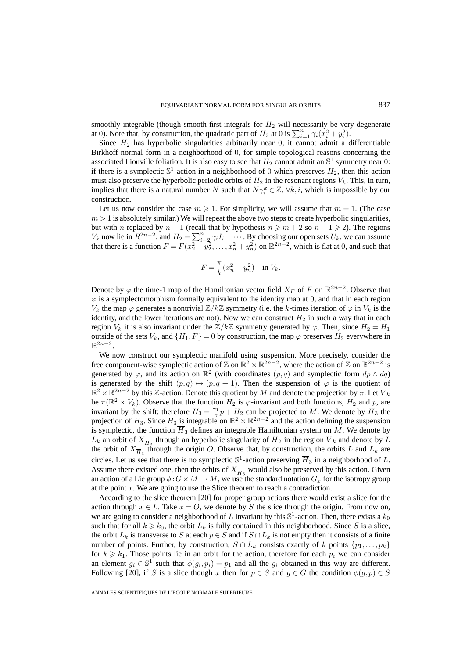smoothly integrable (though smooth first integrals for  $H_2$  will necessarily be very degenerate at 0). Note that, by construction, the quadratic part of  $H_2$  at 0 is  $\sum_{i=1}^n \gamma_i (x_i^2 + y_i^2)$ .

Since  $H_2$  has hyperbolic singularities arbitrarily near 0, it cannot admit a differentiable Birkhoff normal form in a neighborhood of 0, for simple topological reasons concerning the associated Liouville foliation. It is also easy to see that  $H_2$  cannot admit an  $\mathbb{S}^1$  symmetry near 0: if there is a symplectic  $\mathbb{S}^1$ -action in a neighborhood of 0 which preserves  $H_2$ , then this action must also preserve the hyperbolic periodic orbits of  $H_2$  in the resonant regions  $V_k$ . This, in turn, implies that there is a natural number N such that  $N\gamma_i^k \in \mathbb{Z}$ ,  $\forall k, i$ , which is impossible by our construction.

Let us now consider the case  $m \geqslant 1$ . For simplicity, we will assume that  $m = 1$ . (The case  $m > 1$  is absolutely similar.) We will repeat the above two steps to create hyperbolic singularities, but with n replaced by  $n - 1$  (recall that by hypothesis  $n \geq m + 2$  so  $n - 1 \geq 2$ ). The regions  $V_k$  now lie in  $R^{2n-2}$ , and  $H_2 = \sum_{i=2}^n \gamma_i I_i + \cdots$ . By choosing our open sets  $U_k$ , we can assume that there is a function  $F = F(x_2^2 + y_2^2, \ldots, x_n^2 + y_n^2)$  on  $\mathbb{R}^{2n-2}$ , which is flat at 0, and such that

$$
F = \frac{\pi}{k}(x_n^2 + y_n^2) \quad \text{in } V_k.
$$

Denote by  $\varphi$  the time-1 map of the Hamiltonian vector field  $X_F$  of F on  $\mathbb{R}^{2n-2}$ . Observe that  $\varphi$  is a symplectomorphism formally equivalent to the identity map at 0, and that in each region  $V_k$  the map  $\varphi$  generates a nontrivial  $\mathbb{Z}/k\mathbb{Z}$  symmetry (i.e. the k-times iteration of  $\varphi$  in  $V_k$  is the identity, and the lower iterations are not). Now we can construct  $H_2$  in such a way that in each region  $V_k$  it is also invariant under the  $\mathbb{Z}/k\mathbb{Z}$  symmetry generated by  $\varphi$ . Then, since  $H_2 = H_1$ outside of the sets  $V_k$ , and  $\{H_1, F\} = 0$  by construction, the map  $\varphi$  preserves  $H_2$  everywhere in  $\mathbb{R}^{2n-2}$ .

We now construct our symplectic manifold using suspension. More precisely, consider the free component-wise symplectic action of  $\mathbb{Z}$  on  $\mathbb{R}^2 \times \mathbb{R}^{2n-2}$ , where the action of  $\mathbb{Z}$  on  $\mathbb{R}^{2n-2}$  is generated by  $\varphi$ , and its action on  $\mathbb{R}^2$  (with coordinates  $(p, q)$  and symplectic form  $dp \wedge dq$ ) is generated by the shift  $(p, q) \mapsto (p, q + 1)$ . Then the suspension of  $\varphi$  is the quotient of  $\mathbb{R}^2 \times \mathbb{R}^{2n-2}$  by this Z-action. Denote this quotient by M and denote the projection by  $\pi$ . Let  $\overline{V}_k$ be  $\pi(\mathbb{R}^2 \times V_k)$ . Observe that the function  $H_2$  is  $\varphi$ -invariant and both functions,  $H_2$  and p, are invariant by the shift; therefore  $H_3 = \frac{\gamma_1}{\pi} p + H_2$  can be projected to M. We denote by  $\overline{H}_3$  the projection of  $H_3$ . Since  $H_3$  is integrable on  $\mathbb{R}^2 \times \mathbb{R}^{2n-2}$  and the action defining the suspension is symplectic, the function  $\overline{H}_3$  defines an integrable Hamiltonian system on M. We denote by  $L_k$  an orbit of  $X_{\overline{H}_2}$  through an hyperbolic singularity of  $\overline{H}_2$  in the region  $\overline{V}_k$  and denote by L the orbit of  $X_{\overline{H}_3}$  through the origin O. Observe that, by construction, the orbits L and  $L_k$  are circles. Let us see that there is no symplectic  $\mathbb{S}^1$ -action preserving  $\overline{H}_3$  in a neighborhood of L. Assume there existed one, then the orbits of  $X_{\overline{H}_3}$  would also be preserved by this action. Given an action of a Lie group  $\phi: G \times M \to M$ , we use the standard notation  $G_x$  for the isotropy group at the point  $x$ . We are going to use the Slice theorem to reach a contradiction.

According to the slice theorem [20] for proper group actions there would exist a slice for the action through  $x \in L$ . Take  $x = O$ , we denote by S the slice through the origin. From now on, we are going to consider a neighborhood of L invariant by this  $\mathbb{S}^1$ -action. Then, there exists a  $k_0$ such that for all  $k \geq k_0$ , the orbit  $L_k$  is fully contained in this neighborhood. Since S is a slice, the orbit  $L_k$  is transverse to S at each  $p \in S$  and if  $S \cap L_k$  is not empty then it consists of a finite number of points. Further, by construction,  $S \cap L_k$  consists exactly of k points  $\{p_1, \ldots, p_k\}$ for  $k \geq k_1$ . Those points lie in an orbit for the action, therefore for each  $p_i$  we can consider an element  $g_i \in \mathbb{S}^1$  such that  $\phi(g_i, p_i) = p_1$  and all the  $g_i$  obtained in this way are different. Following [20], if S is a slice though x then for  $p \in S$  and  $g \in G$  the condition  $\phi(g, p) \in S$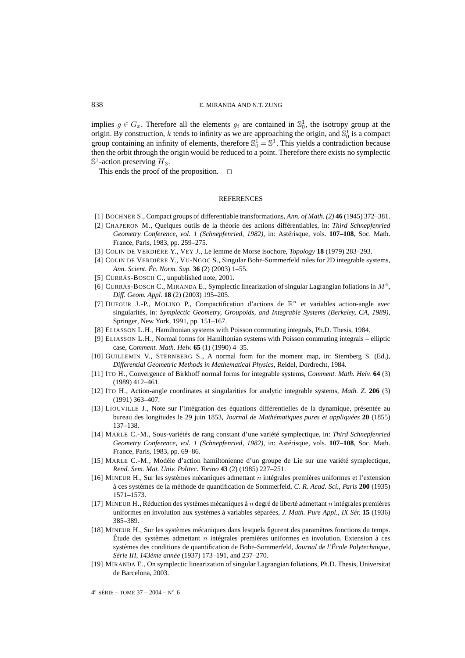implies  $g \in G_x$ . Therefore all the elements  $g_i$  are contained in  $\mathbb{S}_0^1$ , the isotropy group at the origin. By construction, k tends to infinity as we are approaching the origin, and  $\mathbb{S}^1_0$  is a compact group containing an infinity of elements, therefore  $\mathbb{S}_0^1 = \mathbb{S}^1$ . This yields a contradiction because then the orbit through the origin would be reduced to a point. Therefore there exists no symplectic  $\mathbb{S}^1$ -action preserving  $\overline{H}_3$ .

This ends the proof of the proposition.  $\Box$ 

# **REFERENCES**

- [1] BOCHNER S., Compact groups of differentiable transformations, *Ann. of Math. (2)* **46** (1945) 372–381.
- [2] CHAPERON M., Quelques outils de la théorie des actions différentiables, in: *Third Schnepfenried Geometry Conference, vol. 1 (Schnepfenried, 1982)*, in: Astérisque, vols. **107–108**, Soc. Math. France, Paris, 1983, pp. 259–275.
- [3] COLIN DE VERDIÈRE Y., VEY J., Le lemme de Morse isochore, *Topology* **18** (1979) 283–293.
- [4] COLIN DE VERDIÈRE Y., VU-NGOC S., Singular Bohr–Sommerfeld rules for 2D integrable systems, *Ann. Scient. Éc. Norm. Sup.* **36** (2) (2003) 1–55.
- [5] CURRÁS-BOSCH C., unpublished note, 2001.
- [6] CURRÁS-BOSCH C., MIRANDA E., Symplectic linearization of singular Lagrangian foliations in  $M<sup>4</sup>$ , *Diff. Geom. Appl.* **18** (2) (2003) 195–205.
- [7] DUFOUR J.-P., MOLINO P., Compactification d'actions de  $\mathbb{R}^n$  et variables action-angle avec singularités, in: *Symplectic Geometry, Groupoids, and Integrable Systems (Berkeley, CA, 1989)*, Springer, New York, 1991, pp. 151–167.
- [8] ELIASSON L.H., Hamiltonian systems with Poisson commuting integrals, Ph.D. Thesis, 1984.
- [9] ELIASSON L.H., Normal forms for Hamiltonian systems with Poisson commuting integrals elliptic case, *Comment. Math. Helv.* **65** (1) (1990) 4–35.
- [10] GUILLEMIN V., STERNBERG S., A normal form for the moment map, in: Sternberg S. (Ed.), *Differential Geometric Methods in Mathematical Physics*, Reidel, Dordrecht, 1984.
- [11] ITO H., Convergence of Birkhoff normal forms for integrable systems, *Comment. Math. Helv.* **64** (3) (1989) 412–461.
- [12] ITO H., Action-angle coordinates at singularities for analytic integrable systems, *Math. Z.* **206** (3) (1991) 363–407.
- [13] LIOUVILLE J., Note sur l'intégration des équations différentielles de la dynamique, présentée au bureau des longitudes le 29 juin 1853, *Journal de Mathématiques pures et appliquées* **20** (1855) 137–138.
- [14] MARLE C.-M., Sous-variétés de rang constant d'une variété symplectique, in: *Third Schnepfenried Geometry Conference, vol. 1 (Schnepfenried, 1982)*, in: Astérisque, vols. **107–108**, Soc. Math. France, Paris, 1983, pp. 69–86.
- [15] MARLE C.-M., Modèle d'action hamiltonienne d'un groupe de Lie sur une variété symplectique, *Rend. Sem. Mat. Univ. Politec. Torino* **43** (2) (1985) 227–251.
- [16] MINEUR H., Sur les systèmes mécaniques admettant n intégrales premières uniformes et l'extension à ces systèmes de la méthode de quantification de Sommerfeld, *C. R. Acad. Sci., Paris* **200** (1935) 1571–1573.
- [17] MINEUR H., Réduction des systèmes mécaniques à  $n$  degré de liberté admettant  $n$  intégrales premières uniformes en involution aux systèmes à variables séparées, *J. Math. Pure Appl., IX Sér.* **15** (1936) 385–389.
- [18] MINEUR H., Sur les systèmes mécaniques dans lesquels figurent des paramètres fonctions du temps. Étude des systèmes admettant n intégrales premières uniformes en involution. Extension à ces systèmes des conditions de quantification de Bohr–Sommerfeld, *Journal de l'École Polytechnique, Série III, 143ème année* (1937) 173–191, and 237–270.
- [19] MIRANDA E., On symplectic linearization of singular Lagrangian foliations, Ph.D. Thesis, Universitat de Barcelona, 2003.

4<sup>e</sup> SÉRIE – TOME 37 – 2004 – N° 6